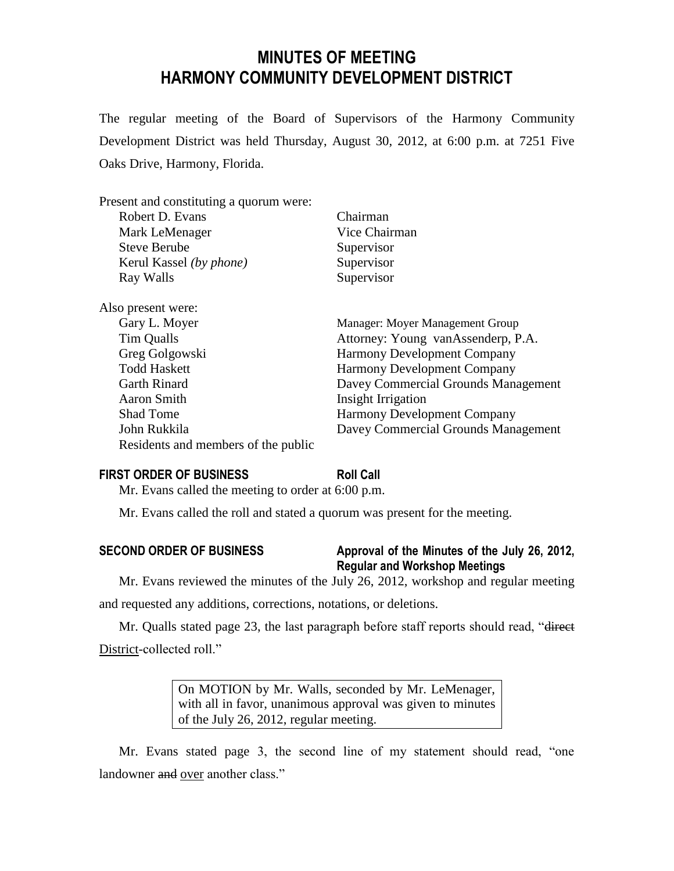# **MINUTES OF MEETING HARMONY COMMUNITY DEVELOPMENT DISTRICT**

The regular meeting of the Board of Supervisors of the Harmony Community Development District was held Thursday, August 30, 2012, at 6:00 p.m. at 7251 Five Oaks Drive, Harmony, Florida.

| Present and constituting a quorum were: | Chairman                            |
|-----------------------------------------|-------------------------------------|
| Robert D. Evans                         |                                     |
| Mark LeMenager                          | Vice Chairman                       |
| <b>Steve Berube</b>                     | Supervisor                          |
| Kerul Kassel (by phone)                 | Supervisor                          |
| Ray Walls                               | Supervisor                          |
| Also present were:                      |                                     |
| Gary L. Moyer                           | Manager: Moyer Management Group     |
| Tim Qualls                              | Attorney: Young vanAssenderp, P.A.  |
| Greg Golgowski                          | <b>Harmony Development Company</b>  |
| <b>Todd Haskett</b>                     | <b>Harmony Development Company</b>  |
| <b>Garth Rinard</b>                     | Davey Commercial Grounds Management |
| Aaron Smith                             | Insight Irrigation                  |
| <b>Shad Tome</b>                        | <b>Harmony Development Company</b>  |
| John Rukkila                            | Davey Commercial Grounds Management |
| Residents and members of the public     |                                     |

# **FIRST ORDER OF BUSINESS Roll Call**

Mr. Evans called the meeting to order at 6:00 p.m.

Mr. Evans called the roll and stated a quorum was present for the meeting.

| <b>SECOND ORDER OF BUSINESS</b> | Approval of the Minutes of the July 26, 2012, |
|---------------------------------|-----------------------------------------------|
|                                 | <b>Regular and Workshop Meetings</b>          |

Mr. Evans reviewed the minutes of the July 26, 2012, workshop and regular meeting and requested any additions, corrections, notations, or deletions.

Mr. Qualls stated page 23, the last paragraph before staff reports should read, "direct District-collected roll."

> On MOTION by Mr. Walls, seconded by Mr. LeMenager, with all in favor, unanimous approval was given to minutes of the July 26, 2012, regular meeting.

Mr. Evans stated page 3, the second line of my statement should read, "one landowner and over another class."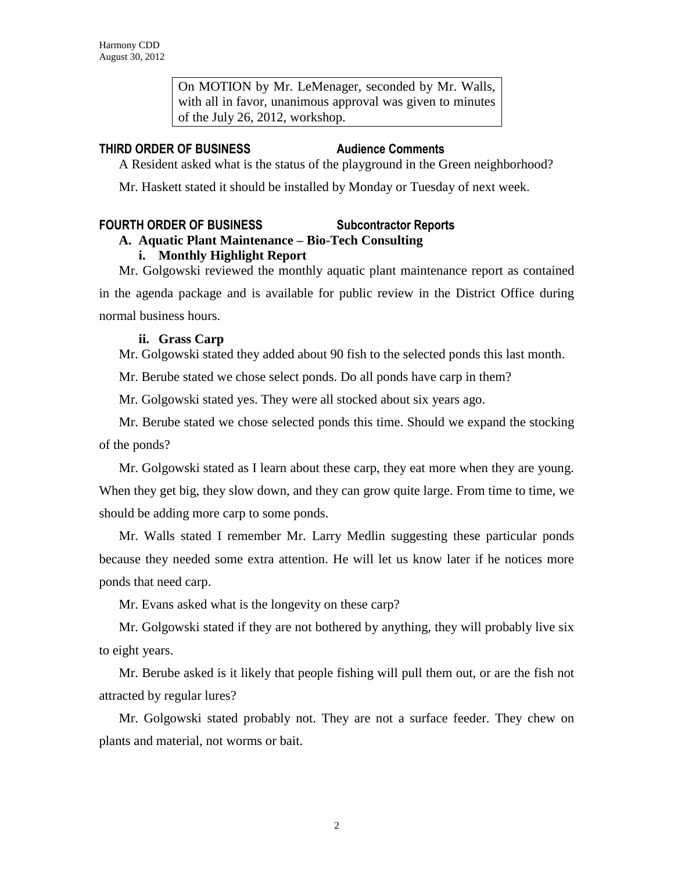On MOTION by Mr. LeMenager, seconded by Mr. Walls, with all in favor, unanimous approval was given to minutes of the July 26, 2012, workshop.

# **THIRD ORDER OF BUSINESS Audience Comments**

A Resident asked what is the status of the playground in the Green neighborhood?

Mr. Haskett stated it should be installed by Monday or Tuesday of next week.

# **FOURTH ORDER OF BUSINESS Subcontractor Reports**

# **A. Aquatic Plant Maintenance – Bio-Tech Consulting**

# **i. Monthly Highlight Report**

Mr. Golgowski reviewed the monthly aquatic plant maintenance report as contained in the agenda package and is available for public review in the District Office during normal business hours.

# **ii. Grass Carp**

Mr. Golgowski stated they added about 90 fish to the selected ponds this last month.

Mr. Berube stated we chose select ponds. Do all ponds have carp in them?

Mr. Golgowski stated yes. They were all stocked about six years ago.

Mr. Berube stated we chose selected ponds this time. Should we expand the stocking of the ponds?

Mr. Golgowski stated as I learn about these carp, they eat more when they are young. When they get big, they slow down, and they can grow quite large. From time to time, we should be adding more carp to some ponds.

Mr. Walls stated I remember Mr. Larry Medlin suggesting these particular ponds because they needed some extra attention. He will let us know later if he notices more ponds that need carp.

Mr. Evans asked what is the longevity on these carp?

Mr. Golgowski stated if they are not bothered by anything, they will probably live six to eight years.

Mr. Berube asked is it likely that people fishing will pull them out, or are the fish not attracted by regular lures?

Mr. Golgowski stated probably not. They are not a surface feeder. They chew on plants and material, not worms or bait.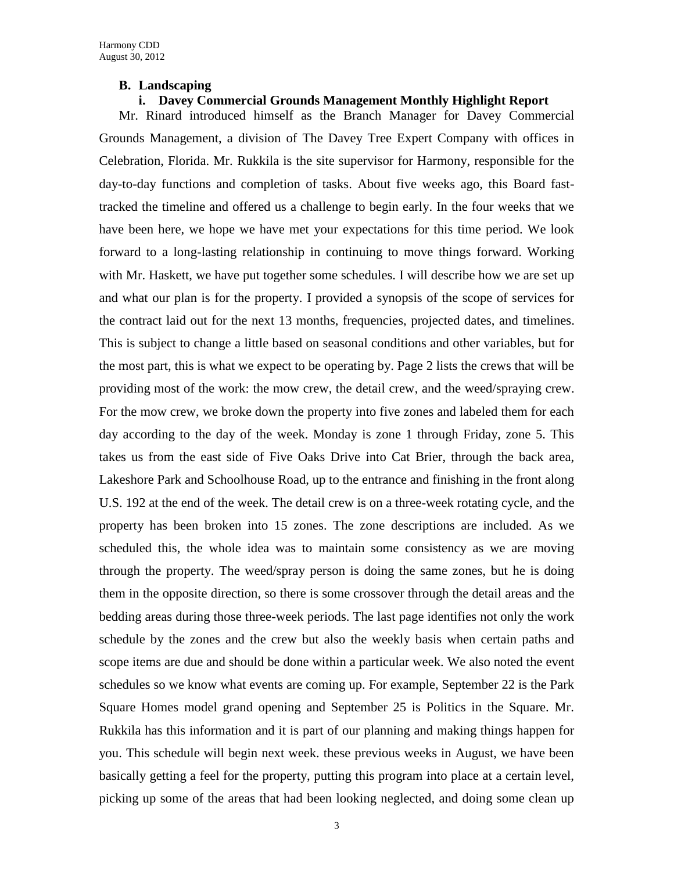#### **B. Landscaping**

### **i. Davey Commercial Grounds Management Monthly Highlight Report**

Mr. Rinard introduced himself as the Branch Manager for Davey Commercial Grounds Management, a division of The Davey Tree Expert Company with offices in Celebration, Florida. Mr. Rukkila is the site supervisor for Harmony, responsible for the day-to-day functions and completion of tasks. About five weeks ago, this Board fasttracked the timeline and offered us a challenge to begin early. In the four weeks that we have been here, we hope we have met your expectations for this time period. We look forward to a long-lasting relationship in continuing to move things forward. Working with Mr. Haskett, we have put together some schedules. I will describe how we are set up and what our plan is for the property. I provided a synopsis of the scope of services for the contract laid out for the next 13 months, frequencies, projected dates, and timelines. This is subject to change a little based on seasonal conditions and other variables, but for the most part, this is what we expect to be operating by. Page 2 lists the crews that will be providing most of the work: the mow crew, the detail crew, and the weed/spraying crew. For the mow crew, we broke down the property into five zones and labeled them for each day according to the day of the week. Monday is zone 1 through Friday, zone 5. This takes us from the east side of Five Oaks Drive into Cat Brier, through the back area, Lakeshore Park and Schoolhouse Road, up to the entrance and finishing in the front along U.S. 192 at the end of the week. The detail crew is on a three-week rotating cycle, and the property has been broken into 15 zones. The zone descriptions are included. As we scheduled this, the whole idea was to maintain some consistency as we are moving through the property. The weed/spray person is doing the same zones, but he is doing them in the opposite direction, so there is some crossover through the detail areas and the bedding areas during those three-week periods. The last page identifies not only the work schedule by the zones and the crew but also the weekly basis when certain paths and scope items are due and should be done within a particular week. We also noted the event schedules so we know what events are coming up. For example, September 22 is the Park Square Homes model grand opening and September 25 is Politics in the Square. Mr. Rukkila has this information and it is part of our planning and making things happen for you. This schedule will begin next week. these previous weeks in August, we have been basically getting a feel for the property, putting this program into place at a certain level, picking up some of the areas that had been looking neglected, and doing some clean up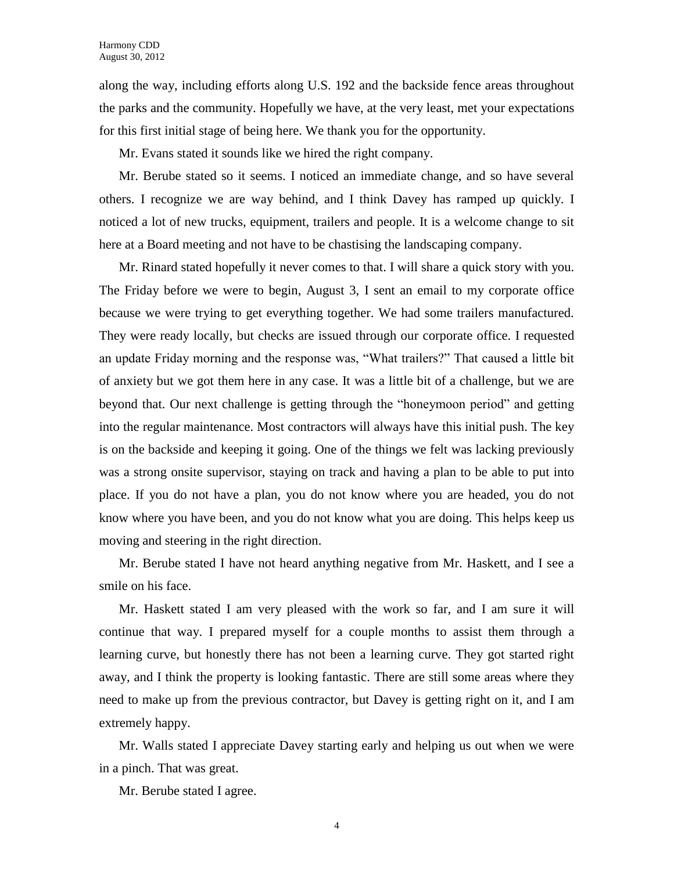along the way, including efforts along U.S. 192 and the backside fence areas throughout the parks and the community. Hopefully we have, at the very least, met your expectations for this first initial stage of being here. We thank you for the opportunity.

Mr. Evans stated it sounds like we hired the right company.

Mr. Berube stated so it seems. I noticed an immediate change, and so have several others. I recognize we are way behind, and I think Davey has ramped up quickly. I noticed a lot of new trucks, equipment, trailers and people. It is a welcome change to sit here at a Board meeting and not have to be chastising the landscaping company.

Mr. Rinard stated hopefully it never comes to that. I will share a quick story with you. The Friday before we were to begin, August 3, I sent an email to my corporate office because we were trying to get everything together. We had some trailers manufactured. They were ready locally, but checks are issued through our corporate office. I requested an update Friday morning and the response was, "What trailers?" That caused a little bit of anxiety but we got them here in any case. It was a little bit of a challenge, but we are beyond that. Our next challenge is getting through the "honeymoon period" and getting into the regular maintenance. Most contractors will always have this initial push. The key is on the backside and keeping it going. One of the things we felt was lacking previously was a strong onsite supervisor, staying on track and having a plan to be able to put into place. If you do not have a plan, you do not know where you are headed, you do not know where you have been, and you do not know what you are doing. This helps keep us moving and steering in the right direction.

Mr. Berube stated I have not heard anything negative from Mr. Haskett, and I see a smile on his face.

Mr. Haskett stated I am very pleased with the work so far, and I am sure it will continue that way. I prepared myself for a couple months to assist them through a learning curve, but honestly there has not been a learning curve. They got started right away, and I think the property is looking fantastic. There are still some areas where they need to make up from the previous contractor, but Davey is getting right on it, and I am extremely happy.

Mr. Walls stated I appreciate Davey starting early and helping us out when we were in a pinch. That was great.

Mr. Berube stated I agree.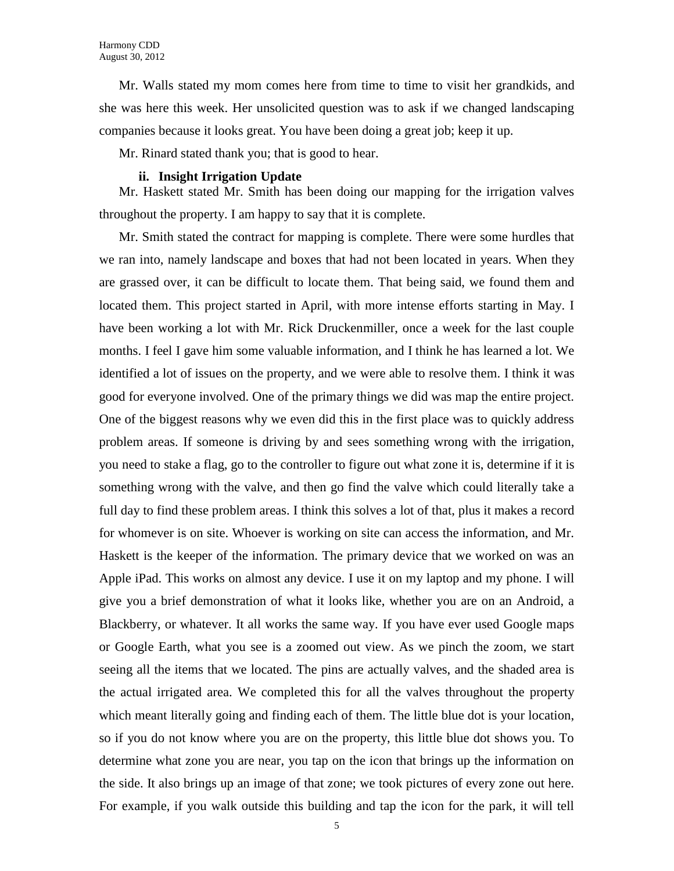Mr. Walls stated my mom comes here from time to time to visit her grandkids, and she was here this week. Her unsolicited question was to ask if we changed landscaping companies because it looks great. You have been doing a great job; keep it up.

Mr. Rinard stated thank you; that is good to hear.

#### **ii. Insight Irrigation Update**

Mr. Haskett stated Mr. Smith has been doing our mapping for the irrigation valves throughout the property. I am happy to say that it is complete.

Mr. Smith stated the contract for mapping is complete. There were some hurdles that we ran into, namely landscape and boxes that had not been located in years. When they are grassed over, it can be difficult to locate them. That being said, we found them and located them. This project started in April, with more intense efforts starting in May. I have been working a lot with Mr. Rick Druckenmiller, once a week for the last couple months. I feel I gave him some valuable information, and I think he has learned a lot. We identified a lot of issues on the property, and we were able to resolve them. I think it was good for everyone involved. One of the primary things we did was map the entire project. One of the biggest reasons why we even did this in the first place was to quickly address problem areas. If someone is driving by and sees something wrong with the irrigation, you need to stake a flag, go to the controller to figure out what zone it is, determine if it is something wrong with the valve, and then go find the valve which could literally take a full day to find these problem areas. I think this solves a lot of that, plus it makes a record for whomever is on site. Whoever is working on site can access the information, and Mr. Haskett is the keeper of the information. The primary device that we worked on was an Apple iPad. This works on almost any device. I use it on my laptop and my phone. I will give you a brief demonstration of what it looks like, whether you are on an Android, a Blackberry, or whatever. It all works the same way. If you have ever used Google maps or Google Earth, what you see is a zoomed out view. As we pinch the zoom, we start seeing all the items that we located. The pins are actually valves, and the shaded area is the actual irrigated area. We completed this for all the valves throughout the property which meant literally going and finding each of them. The little blue dot is your location, so if you do not know where you are on the property, this little blue dot shows you. To determine what zone you are near, you tap on the icon that brings up the information on the side. It also brings up an image of that zone; we took pictures of every zone out here. For example, if you walk outside this building and tap the icon for the park, it will tell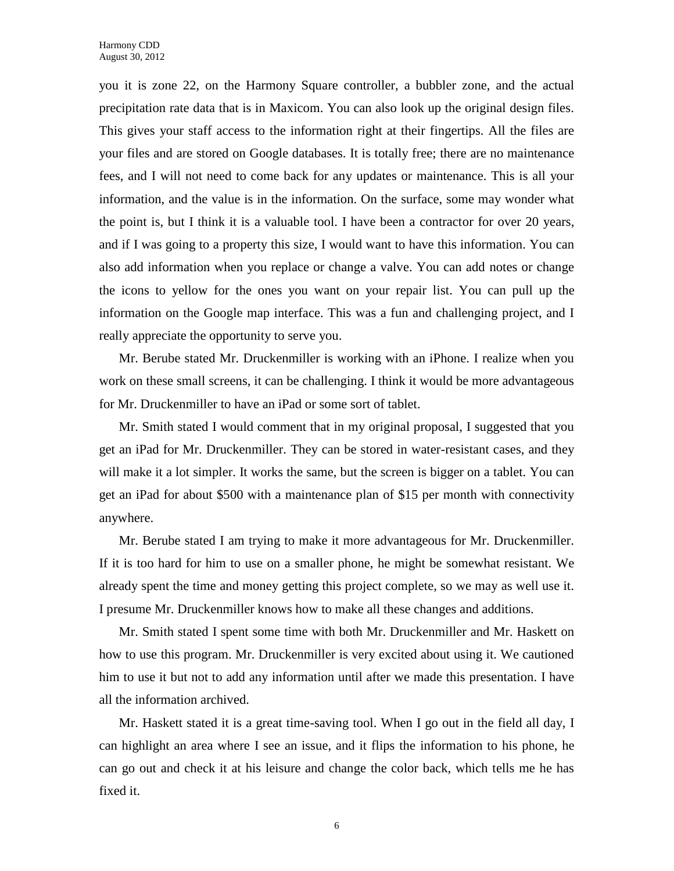you it is zone 22, on the Harmony Square controller, a bubbler zone, and the actual precipitation rate data that is in Maxicom. You can also look up the original design files. This gives your staff access to the information right at their fingertips. All the files are your files and are stored on Google databases. It is totally free; there are no maintenance fees, and I will not need to come back for any updates or maintenance. This is all your information, and the value is in the information. On the surface, some may wonder what the point is, but I think it is a valuable tool. I have been a contractor for over 20 years, and if I was going to a property this size, I would want to have this information. You can also add information when you replace or change a valve. You can add notes or change the icons to yellow for the ones you want on your repair list. You can pull up the information on the Google map interface. This was a fun and challenging project, and I really appreciate the opportunity to serve you.

Mr. Berube stated Mr. Druckenmiller is working with an iPhone. I realize when you work on these small screens, it can be challenging. I think it would be more advantageous for Mr. Druckenmiller to have an iPad or some sort of tablet.

Mr. Smith stated I would comment that in my original proposal, I suggested that you get an iPad for Mr. Druckenmiller. They can be stored in water-resistant cases, and they will make it a lot simpler. It works the same, but the screen is bigger on a tablet. You can get an iPad for about \$500 with a maintenance plan of \$15 per month with connectivity anywhere.

Mr. Berube stated I am trying to make it more advantageous for Mr. Druckenmiller. If it is too hard for him to use on a smaller phone, he might be somewhat resistant. We already spent the time and money getting this project complete, so we may as well use it. I presume Mr. Druckenmiller knows how to make all these changes and additions.

Mr. Smith stated I spent some time with both Mr. Druckenmiller and Mr. Haskett on how to use this program. Mr. Druckenmiller is very excited about using it. We cautioned him to use it but not to add any information until after we made this presentation. I have all the information archived.

Mr. Haskett stated it is a great time-saving tool. When I go out in the field all day, I can highlight an area where I see an issue, and it flips the information to his phone, he can go out and check it at his leisure and change the color back, which tells me he has fixed it.

6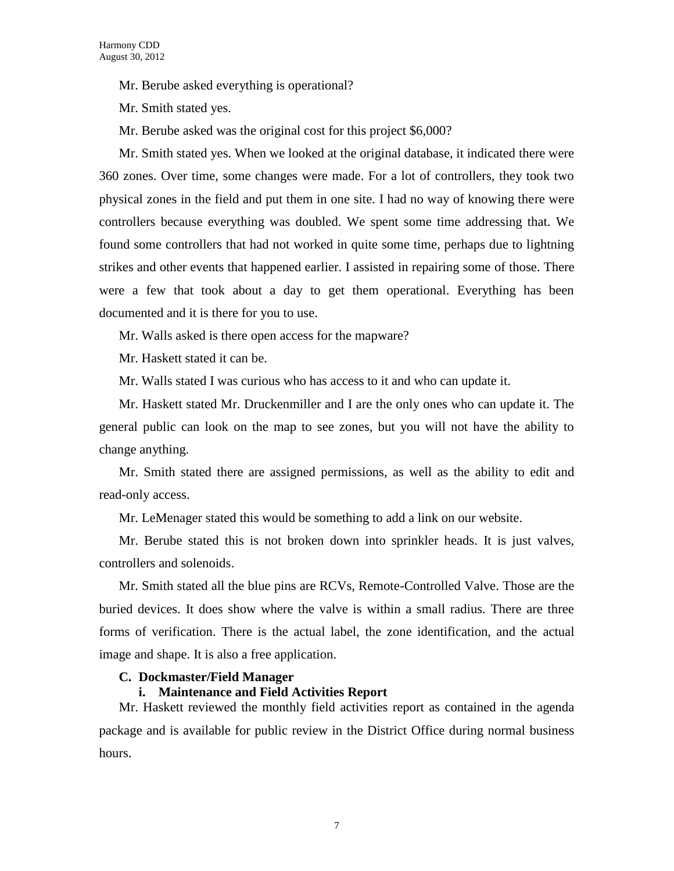Mr. Berube asked everything is operational?

Mr. Smith stated yes.

Mr. Berube asked was the original cost for this project \$6,000?

Mr. Smith stated yes. When we looked at the original database, it indicated there were 360 zones. Over time, some changes were made. For a lot of controllers, they took two physical zones in the field and put them in one site. I had no way of knowing there were controllers because everything was doubled. We spent some time addressing that. We found some controllers that had not worked in quite some time, perhaps due to lightning strikes and other events that happened earlier. I assisted in repairing some of those. There were a few that took about a day to get them operational. Everything has been documented and it is there for you to use.

Mr. Walls asked is there open access for the mapware?

Mr. Haskett stated it can be.

Mr. Walls stated I was curious who has access to it and who can update it.

Mr. Haskett stated Mr. Druckenmiller and I are the only ones who can update it. The general public can look on the map to see zones, but you will not have the ability to change anything.

Mr. Smith stated there are assigned permissions, as well as the ability to edit and read-only access.

Mr. LeMenager stated this would be something to add a link on our website.

Mr. Berube stated this is not broken down into sprinkler heads. It is just valves, controllers and solenoids.

Mr. Smith stated all the blue pins are RCVs, Remote-Controlled Valve. Those are the buried devices. It does show where the valve is within a small radius. There are three forms of verification. There is the actual label, the zone identification, and the actual image and shape. It is also a free application.

#### **C. Dockmaster/Field Manager**

### **i. Maintenance and Field Activities Report**

Mr. Haskett reviewed the monthly field activities report as contained in the agenda package and is available for public review in the District Office during normal business hours.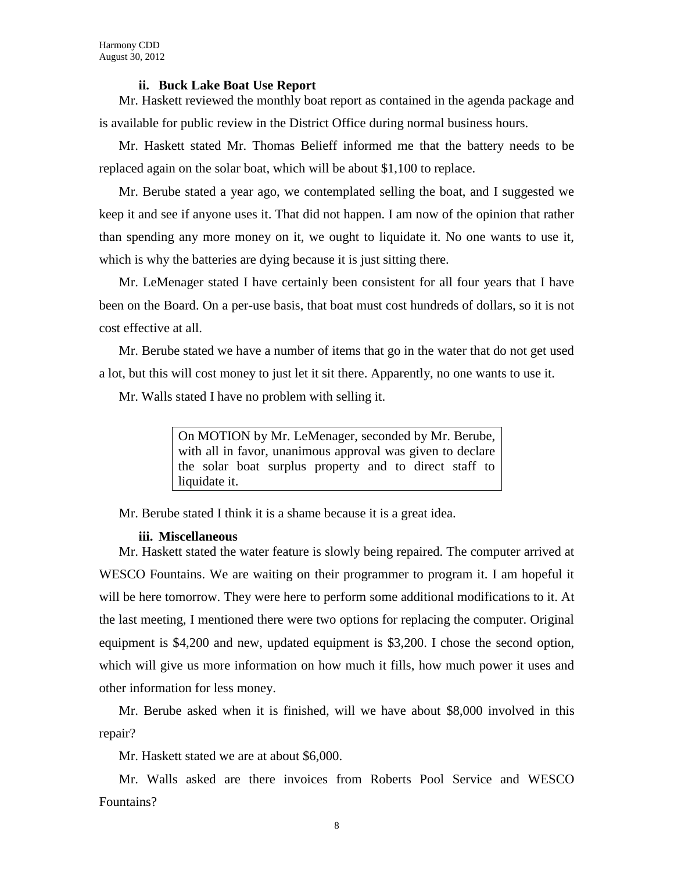#### **ii. Buck Lake Boat Use Report**

Mr. Haskett reviewed the monthly boat report as contained in the agenda package and is available for public review in the District Office during normal business hours.

Mr. Haskett stated Mr. Thomas Belieff informed me that the battery needs to be replaced again on the solar boat, which will be about \$1,100 to replace.

Mr. Berube stated a year ago, we contemplated selling the boat, and I suggested we keep it and see if anyone uses it. That did not happen. I am now of the opinion that rather than spending any more money on it, we ought to liquidate it. No one wants to use it, which is why the batteries are dying because it is just sitting there.

Mr. LeMenager stated I have certainly been consistent for all four years that I have been on the Board. On a per-use basis, that boat must cost hundreds of dollars, so it is not cost effective at all.

Mr. Berube stated we have a number of items that go in the water that do not get used a lot, but this will cost money to just let it sit there. Apparently, no one wants to use it.

Mr. Walls stated I have no problem with selling it.

On MOTION by Mr. LeMenager, seconded by Mr. Berube, with all in favor, unanimous approval was given to declare the solar boat surplus property and to direct staff to liquidate it.

Mr. Berube stated I think it is a shame because it is a great idea.

#### **iii. Miscellaneous**

Mr. Haskett stated the water feature is slowly being repaired. The computer arrived at WESCO Fountains. We are waiting on their programmer to program it. I am hopeful it will be here tomorrow. They were here to perform some additional modifications to it. At the last meeting, I mentioned there were two options for replacing the computer. Original equipment is \$4,200 and new, updated equipment is \$3,200. I chose the second option, which will give us more information on how much it fills, how much power it uses and other information for less money.

Mr. Berube asked when it is finished, will we have about \$8,000 involved in this repair?

Mr. Haskett stated we are at about \$6,000.

Mr. Walls asked are there invoices from Roberts Pool Service and WESCO Fountains?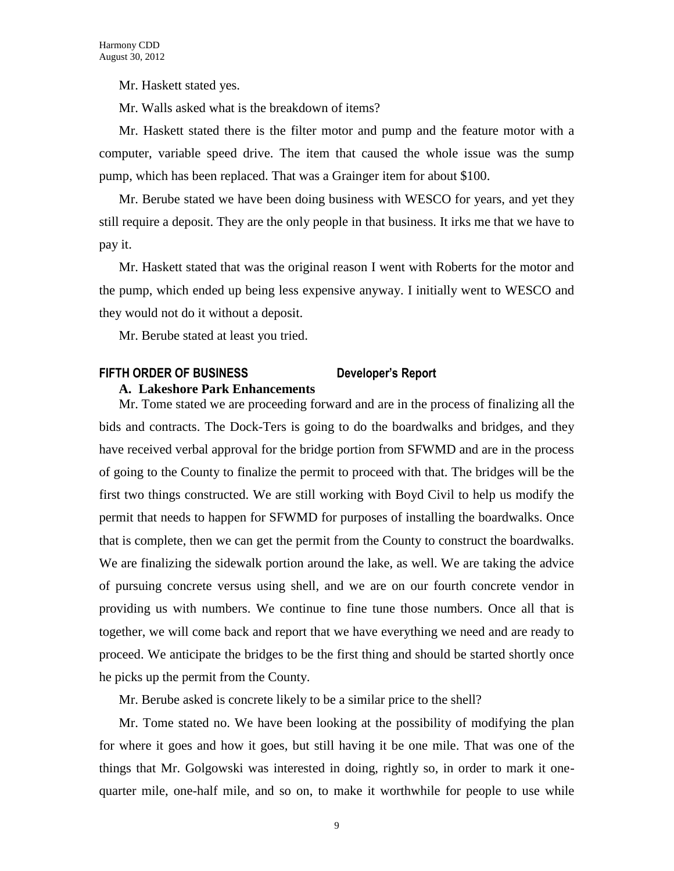Mr. Haskett stated yes.

Mr. Walls asked what is the breakdown of items?

Mr. Haskett stated there is the filter motor and pump and the feature motor with a computer, variable speed drive. The item that caused the whole issue was the sump pump, which has been replaced. That was a Grainger item for about \$100.

Mr. Berube stated we have been doing business with WESCO for years, and yet they still require a deposit. They are the only people in that business. It irks me that we have to pay it.

Mr. Haskett stated that was the original reason I went with Roberts for the motor and the pump, which ended up being less expensive anyway. I initially went to WESCO and they would not do it without a deposit.

Mr. Berube stated at least you tried.

### **FIFTH ORDER OF BUSINESS Developer's Report A. Lakeshore Park Enhancements**

Mr. Tome stated we are proceeding forward and are in the process of finalizing all the bids and contracts. The Dock-Ters is going to do the boardwalks and bridges, and they have received verbal approval for the bridge portion from SFWMD and are in the process of going to the County to finalize the permit to proceed with that. The bridges will be the first two things constructed. We are still working with Boyd Civil to help us modify the permit that needs to happen for SFWMD for purposes of installing the boardwalks. Once that is complete, then we can get the permit from the County to construct the boardwalks. We are finalizing the sidewalk portion around the lake, as well. We are taking the advice of pursuing concrete versus using shell, and we are on our fourth concrete vendor in providing us with numbers. We continue to fine tune those numbers. Once all that is together, we will come back and report that we have everything we need and are ready to proceed. We anticipate the bridges to be the first thing and should be started shortly once he picks up the permit from the County.

Mr. Berube asked is concrete likely to be a similar price to the shell?

Mr. Tome stated no. We have been looking at the possibility of modifying the plan for where it goes and how it goes, but still having it be one mile. That was one of the things that Mr. Golgowski was interested in doing, rightly so, in order to mark it onequarter mile, one-half mile, and so on, to make it worthwhile for people to use while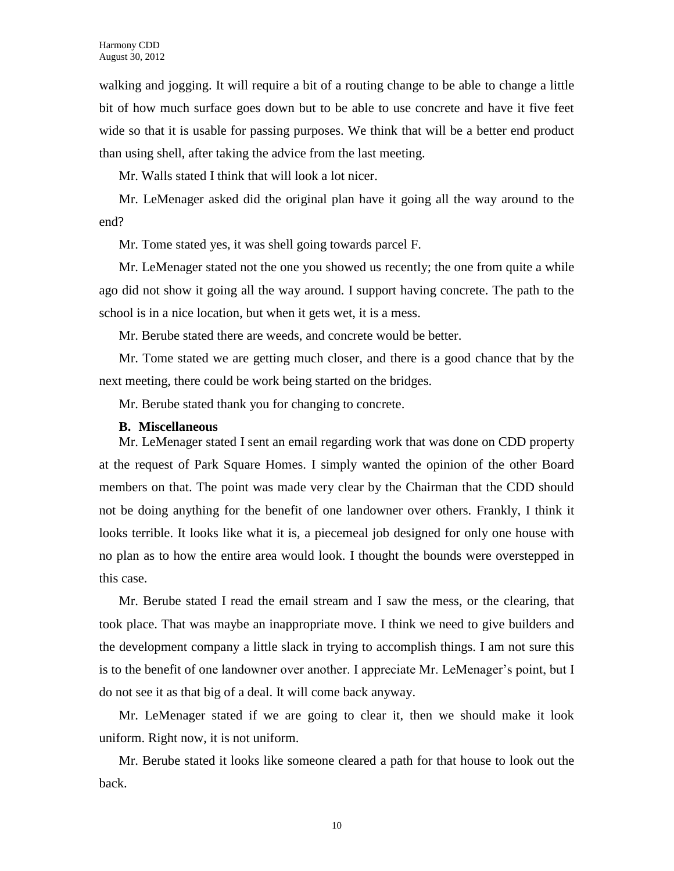walking and jogging. It will require a bit of a routing change to be able to change a little bit of how much surface goes down but to be able to use concrete and have it five feet wide so that it is usable for passing purposes. We think that will be a better end product than using shell, after taking the advice from the last meeting.

Mr. Walls stated I think that will look a lot nicer.

Mr. LeMenager asked did the original plan have it going all the way around to the end?

Mr. Tome stated yes, it was shell going towards parcel F.

Mr. LeMenager stated not the one you showed us recently; the one from quite a while ago did not show it going all the way around. I support having concrete. The path to the school is in a nice location, but when it gets wet, it is a mess.

Mr. Berube stated there are weeds, and concrete would be better.

Mr. Tome stated we are getting much closer, and there is a good chance that by the next meeting, there could be work being started on the bridges.

Mr. Berube stated thank you for changing to concrete.

#### **B. Miscellaneous**

Mr. LeMenager stated I sent an email regarding work that was done on CDD property at the request of Park Square Homes. I simply wanted the opinion of the other Board members on that. The point was made very clear by the Chairman that the CDD should not be doing anything for the benefit of one landowner over others. Frankly, I think it looks terrible. It looks like what it is, a piecemeal job designed for only one house with no plan as to how the entire area would look. I thought the bounds were overstepped in this case.

Mr. Berube stated I read the email stream and I saw the mess, or the clearing, that took place. That was maybe an inappropriate move. I think we need to give builders and the development company a little slack in trying to accomplish things. I am not sure this is to the benefit of one landowner over another. I appreciate Mr. LeMenager's point, but I do not see it as that big of a deal. It will come back anyway.

Mr. LeMenager stated if we are going to clear it, then we should make it look uniform. Right now, it is not uniform.

Mr. Berube stated it looks like someone cleared a path for that house to look out the back.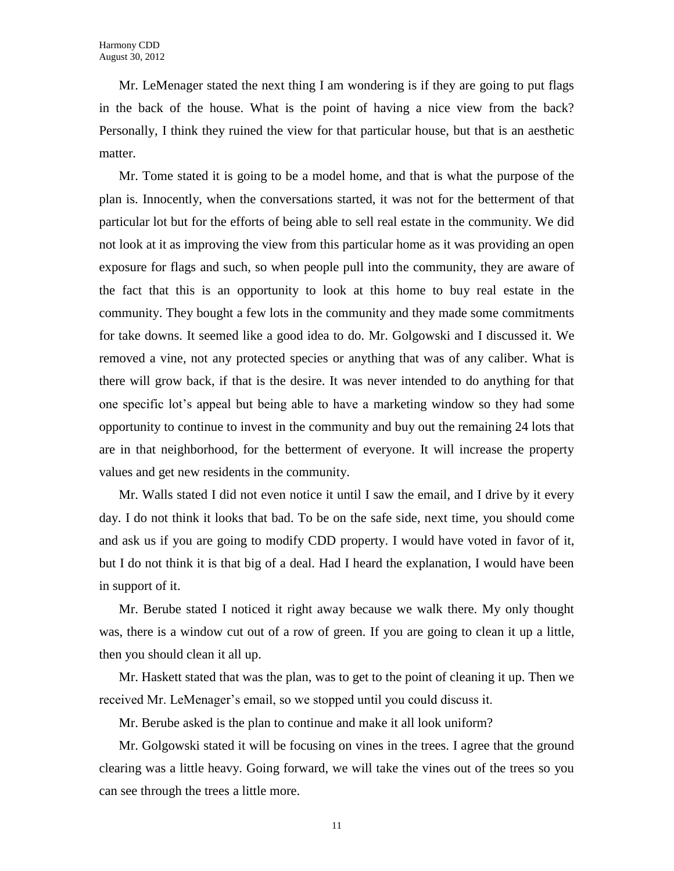Mr. LeMenager stated the next thing I am wondering is if they are going to put flags in the back of the house. What is the point of having a nice view from the back? Personally, I think they ruined the view for that particular house, but that is an aesthetic matter.

Mr. Tome stated it is going to be a model home, and that is what the purpose of the plan is. Innocently, when the conversations started, it was not for the betterment of that particular lot but for the efforts of being able to sell real estate in the community. We did not look at it as improving the view from this particular home as it was providing an open exposure for flags and such, so when people pull into the community, they are aware of the fact that this is an opportunity to look at this home to buy real estate in the community. They bought a few lots in the community and they made some commitments for take downs. It seemed like a good idea to do. Mr. Golgowski and I discussed it. We removed a vine, not any protected species or anything that was of any caliber. What is there will grow back, if that is the desire. It was never intended to do anything for that one specific lot's appeal but being able to have a marketing window so they had some opportunity to continue to invest in the community and buy out the remaining 24 lots that are in that neighborhood, for the betterment of everyone. It will increase the property values and get new residents in the community.

Mr. Walls stated I did not even notice it until I saw the email, and I drive by it every day. I do not think it looks that bad. To be on the safe side, next time, you should come and ask us if you are going to modify CDD property. I would have voted in favor of it, but I do not think it is that big of a deal. Had I heard the explanation, I would have been in support of it.

Mr. Berube stated I noticed it right away because we walk there. My only thought was, there is a window cut out of a row of green. If you are going to clean it up a little, then you should clean it all up.

Mr. Haskett stated that was the plan, was to get to the point of cleaning it up. Then we received Mr. LeMenager's email, so we stopped until you could discuss it.

Mr. Berube asked is the plan to continue and make it all look uniform?

Mr. Golgowski stated it will be focusing on vines in the trees. I agree that the ground clearing was a little heavy. Going forward, we will take the vines out of the trees so you can see through the trees a little more.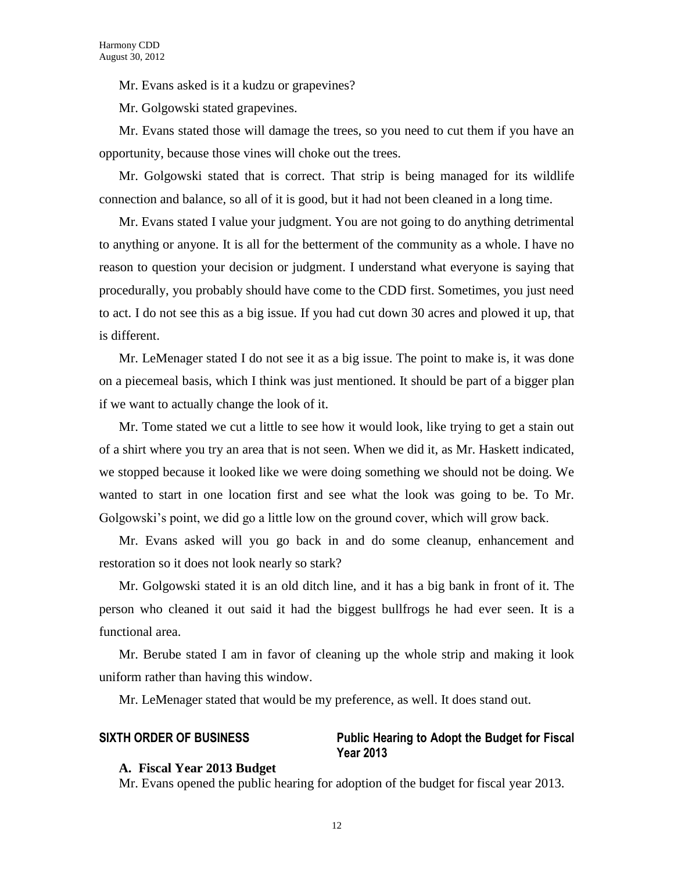Mr. Evans asked is it a kudzu or grapevines?

Mr. Golgowski stated grapevines.

Mr. Evans stated those will damage the trees, so you need to cut them if you have an opportunity, because those vines will choke out the trees.

Mr. Golgowski stated that is correct. That strip is being managed for its wildlife connection and balance, so all of it is good, but it had not been cleaned in a long time.

Mr. Evans stated I value your judgment. You are not going to do anything detrimental to anything or anyone. It is all for the betterment of the community as a whole. I have no reason to question your decision or judgment. I understand what everyone is saying that procedurally, you probably should have come to the CDD first. Sometimes, you just need to act. I do not see this as a big issue. If you had cut down 30 acres and plowed it up, that is different.

Mr. LeMenager stated I do not see it as a big issue. The point to make is, it was done on a piecemeal basis, which I think was just mentioned. It should be part of a bigger plan if we want to actually change the look of it.

Mr. Tome stated we cut a little to see how it would look, like trying to get a stain out of a shirt where you try an area that is not seen. When we did it, as Mr. Haskett indicated, we stopped because it looked like we were doing something we should not be doing. We wanted to start in one location first and see what the look was going to be. To Mr. Golgowski's point, we did go a little low on the ground cover, which will grow back.

Mr. Evans asked will you go back in and do some cleanup, enhancement and restoration so it does not look nearly so stark?

Mr. Golgowski stated it is an old ditch line, and it has a big bank in front of it. The person who cleaned it out said it had the biggest bullfrogs he had ever seen. It is a functional area.

Mr. Berube stated I am in favor of cleaning up the whole strip and making it look uniform rather than having this window.

Mr. LeMenager stated that would be my preference, as well. It does stand out.

# **SIXTH ORDER OF BUSINESS Public Hearing to Adopt the Budget for Fiscal Year 2013**

#### **A. Fiscal Year 2013 Budget**

Mr. Evans opened the public hearing for adoption of the budget for fiscal year 2013.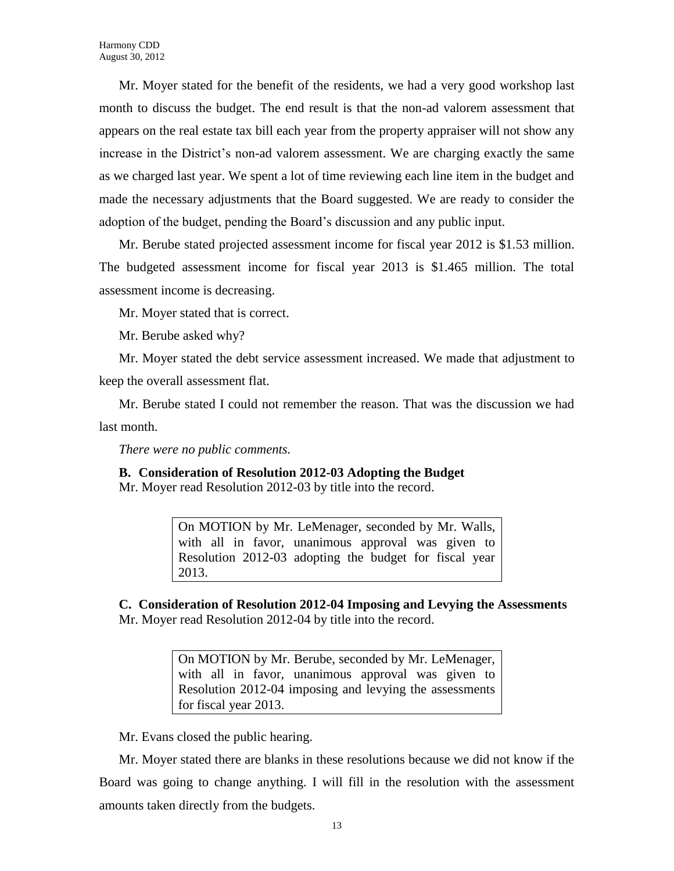Mr. Moyer stated for the benefit of the residents, we had a very good workshop last month to discuss the budget. The end result is that the non-ad valorem assessment that appears on the real estate tax bill each year from the property appraiser will not show any increase in the District's non-ad valorem assessment. We are charging exactly the same as we charged last year. We spent a lot of time reviewing each line item in the budget and made the necessary adjustments that the Board suggested. We are ready to consider the adoption of the budget, pending the Board's discussion and any public input.

Mr. Berube stated projected assessment income for fiscal year 2012 is \$1.53 million. The budgeted assessment income for fiscal year 2013 is \$1.465 million. The total assessment income is decreasing.

Mr. Moyer stated that is correct.

Mr. Berube asked why?

Mr. Moyer stated the debt service assessment increased. We made that adjustment to keep the overall assessment flat.

Mr. Berube stated I could not remember the reason. That was the discussion we had last month.

*There were no public comments.*

**B. Consideration of Resolution 2012-03 Adopting the Budget**

Mr. Moyer read Resolution 2012-03 by title into the record.

On MOTION by Mr. LeMenager, seconded by Mr. Walls, with all in favor, unanimous approval was given to Resolution 2012-03 adopting the budget for fiscal year 2013.

**C. Consideration of Resolution 2012-04 Imposing and Levying the Assessments**  Mr. Moyer read Resolution 2012-04 by title into the record.

> On MOTION by Mr. Berube, seconded by Mr. LeMenager, with all in favor, unanimous approval was given to Resolution 2012-04 imposing and levying the assessments for fiscal year 2013.

Mr. Evans closed the public hearing.

Mr. Moyer stated there are blanks in these resolutions because we did not know if the Board was going to change anything. I will fill in the resolution with the assessment amounts taken directly from the budgets.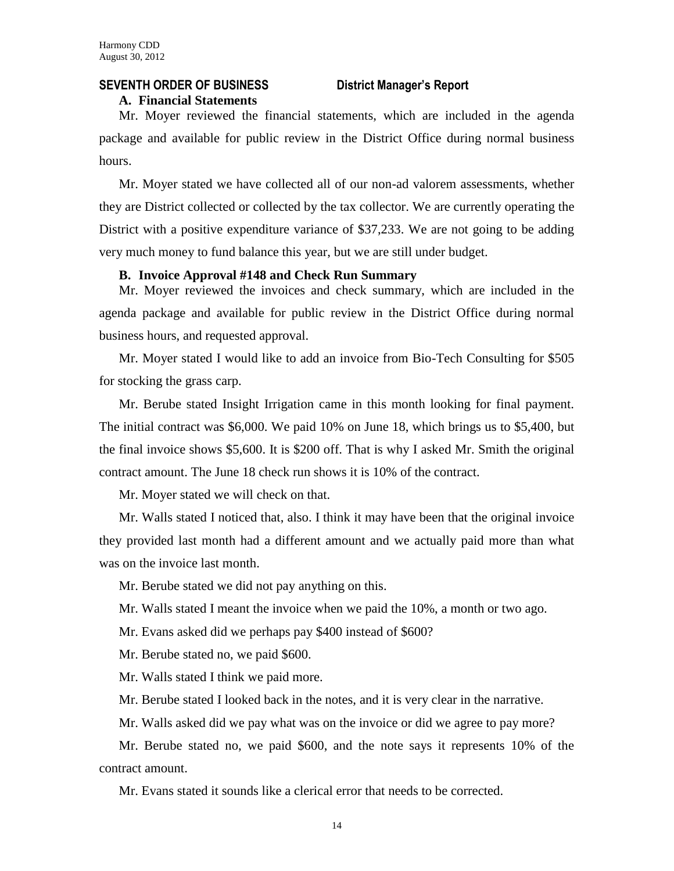# **SEVENTH ORDER OF BUSINESS District Manager's Report**

#### **A. Financial Statements**

Mr. Moyer reviewed the financial statements, which are included in the agenda package and available for public review in the District Office during normal business hours.

Mr. Moyer stated we have collected all of our non-ad valorem assessments, whether they are District collected or collected by the tax collector. We are currently operating the District with a positive expenditure variance of \$37,233. We are not going to be adding very much money to fund balance this year, but we are still under budget.

### **B. Invoice Approval #148 and Check Run Summary**

Mr. Moyer reviewed the invoices and check summary, which are included in the agenda package and available for public review in the District Office during normal business hours, and requested approval.

Mr. Moyer stated I would like to add an invoice from Bio-Tech Consulting for \$505 for stocking the grass carp.

Mr. Berube stated Insight Irrigation came in this month looking for final payment. The initial contract was \$6,000. We paid 10% on June 18, which brings us to \$5,400, but the final invoice shows \$5,600. It is \$200 off. That is why I asked Mr. Smith the original contract amount. The June 18 check run shows it is 10% of the contract.

Mr. Moyer stated we will check on that.

Mr. Walls stated I noticed that, also. I think it may have been that the original invoice they provided last month had a different amount and we actually paid more than what was on the invoice last month.

Mr. Berube stated we did not pay anything on this.

Mr. Walls stated I meant the invoice when we paid the 10%, a month or two ago.

Mr. Evans asked did we perhaps pay \$400 instead of \$600?

Mr. Berube stated no, we paid \$600.

Mr. Walls stated I think we paid more.

Mr. Berube stated I looked back in the notes, and it is very clear in the narrative.

Mr. Walls asked did we pay what was on the invoice or did we agree to pay more?

Mr. Berube stated no, we paid \$600, and the note says it represents 10% of the contract amount.

Mr. Evans stated it sounds like a clerical error that needs to be corrected.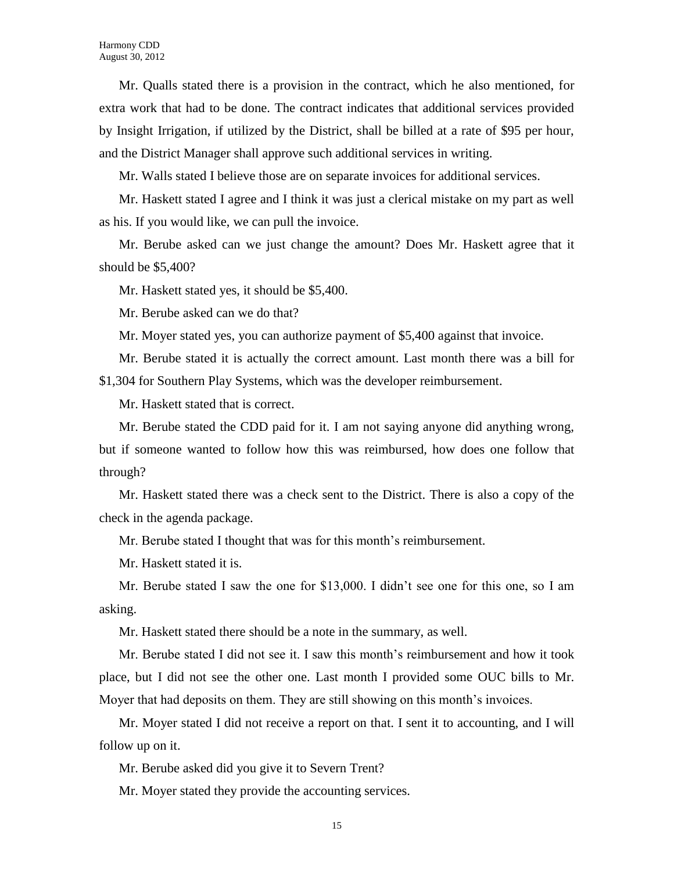Mr. Qualls stated there is a provision in the contract, which he also mentioned, for extra work that had to be done. The contract indicates that additional services provided by Insight Irrigation, if utilized by the District, shall be billed at a rate of \$95 per hour, and the District Manager shall approve such additional services in writing.

Mr. Walls stated I believe those are on separate invoices for additional services.

Mr. Haskett stated I agree and I think it was just a clerical mistake on my part as well as his. If you would like, we can pull the invoice.

Mr. Berube asked can we just change the amount? Does Mr. Haskett agree that it should be \$5,400?

Mr. Haskett stated yes, it should be \$5,400.

Mr. Berube asked can we do that?

Mr. Moyer stated yes, you can authorize payment of \$5,400 against that invoice.

Mr. Berube stated it is actually the correct amount. Last month there was a bill for \$1,304 for Southern Play Systems, which was the developer reimbursement.

Mr. Haskett stated that is correct.

Mr. Berube stated the CDD paid for it. I am not saying anyone did anything wrong, but if someone wanted to follow how this was reimbursed, how does one follow that through?

Mr. Haskett stated there was a check sent to the District. There is also a copy of the check in the agenda package.

Mr. Berube stated I thought that was for this month's reimbursement.

Mr. Haskett stated it is.

Mr. Berube stated I saw the one for \$13,000. I didn't see one for this one, so I am asking.

Mr. Haskett stated there should be a note in the summary, as well.

Mr. Berube stated I did not see it. I saw this month's reimbursement and how it took place, but I did not see the other one. Last month I provided some OUC bills to Mr. Moyer that had deposits on them. They are still showing on this month's invoices.

Mr. Moyer stated I did not receive a report on that. I sent it to accounting, and I will follow up on it.

Mr. Berube asked did you give it to Severn Trent?

Mr. Moyer stated they provide the accounting services.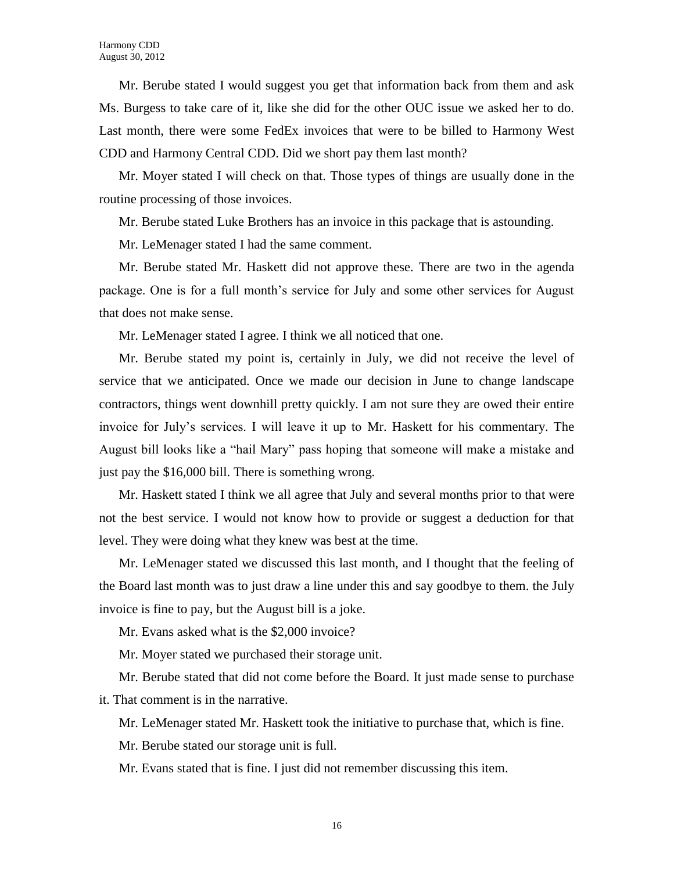Mr. Berube stated I would suggest you get that information back from them and ask Ms. Burgess to take care of it, like she did for the other OUC issue we asked her to do. Last month, there were some FedEx invoices that were to be billed to Harmony West CDD and Harmony Central CDD. Did we short pay them last month?

Mr. Moyer stated I will check on that. Those types of things are usually done in the routine processing of those invoices.

Mr. Berube stated Luke Brothers has an invoice in this package that is astounding.

Mr. LeMenager stated I had the same comment.

Mr. Berube stated Mr. Haskett did not approve these. There are two in the agenda package. One is for a full month's service for July and some other services for August that does not make sense.

Mr. LeMenager stated I agree. I think we all noticed that one.

Mr. Berube stated my point is, certainly in July, we did not receive the level of service that we anticipated. Once we made our decision in June to change landscape contractors, things went downhill pretty quickly. I am not sure they are owed their entire invoice for July's services. I will leave it up to Mr. Haskett for his commentary. The August bill looks like a "hail Mary" pass hoping that someone will make a mistake and just pay the \$16,000 bill. There is something wrong.

Mr. Haskett stated I think we all agree that July and several months prior to that were not the best service. I would not know how to provide or suggest a deduction for that level. They were doing what they knew was best at the time.

Mr. LeMenager stated we discussed this last month, and I thought that the feeling of the Board last month was to just draw a line under this and say goodbye to them. the July invoice is fine to pay, but the August bill is a joke.

Mr. Evans asked what is the \$2,000 invoice?

Mr. Moyer stated we purchased their storage unit.

Mr. Berube stated that did not come before the Board. It just made sense to purchase it. That comment is in the narrative.

Mr. LeMenager stated Mr. Haskett took the initiative to purchase that, which is fine.

Mr. Berube stated our storage unit is full.

Mr. Evans stated that is fine. I just did not remember discussing this item.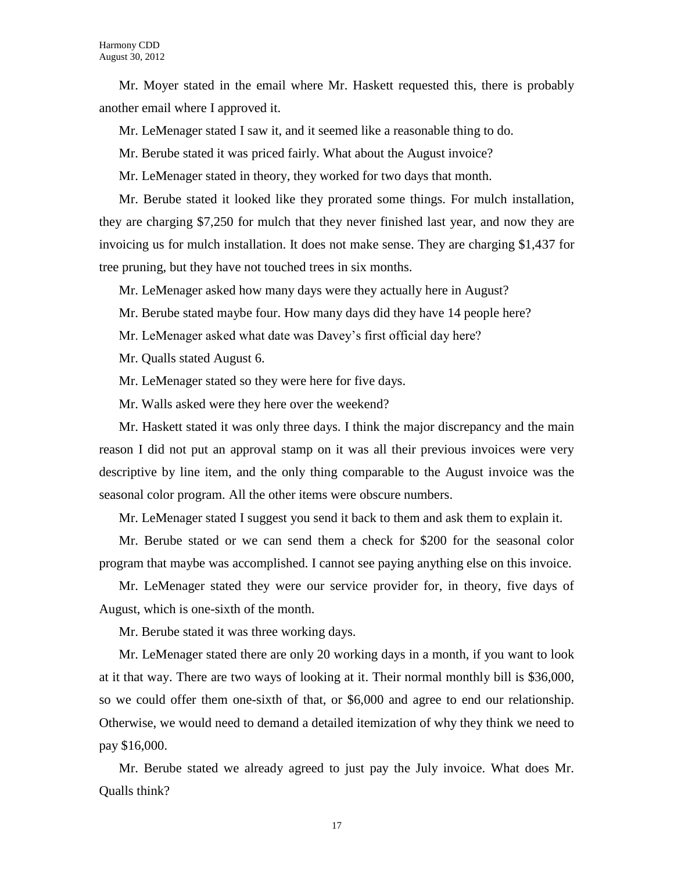Mr. Moyer stated in the email where Mr. Haskett requested this, there is probably another email where I approved it.

Mr. LeMenager stated I saw it, and it seemed like a reasonable thing to do.

Mr. Berube stated it was priced fairly. What about the August invoice?

Mr. LeMenager stated in theory, they worked for two days that month.

Mr. Berube stated it looked like they prorated some things. For mulch installation, they are charging \$7,250 for mulch that they never finished last year, and now they are invoicing us for mulch installation. It does not make sense. They are charging \$1,437 for tree pruning, but they have not touched trees in six months.

Mr. LeMenager asked how many days were they actually here in August?

Mr. Berube stated maybe four. How many days did they have 14 people here?

Mr. LeMenager asked what date was Davey's first official day here?

Mr. Qualls stated August 6.

Mr. LeMenager stated so they were here for five days.

Mr. Walls asked were they here over the weekend?

Mr. Haskett stated it was only three days. I think the major discrepancy and the main reason I did not put an approval stamp on it was all their previous invoices were very descriptive by line item, and the only thing comparable to the August invoice was the seasonal color program. All the other items were obscure numbers.

Mr. LeMenager stated I suggest you send it back to them and ask them to explain it.

Mr. Berube stated or we can send them a check for \$200 for the seasonal color program that maybe was accomplished. I cannot see paying anything else on this invoice.

Mr. LeMenager stated they were our service provider for, in theory, five days of August, which is one-sixth of the month.

Mr. Berube stated it was three working days.

Mr. LeMenager stated there are only 20 working days in a month, if you want to look at it that way. There are two ways of looking at it. Their normal monthly bill is \$36,000, so we could offer them one-sixth of that, or \$6,000 and agree to end our relationship. Otherwise, we would need to demand a detailed itemization of why they think we need to pay \$16,000.

Mr. Berube stated we already agreed to just pay the July invoice. What does Mr. Qualls think?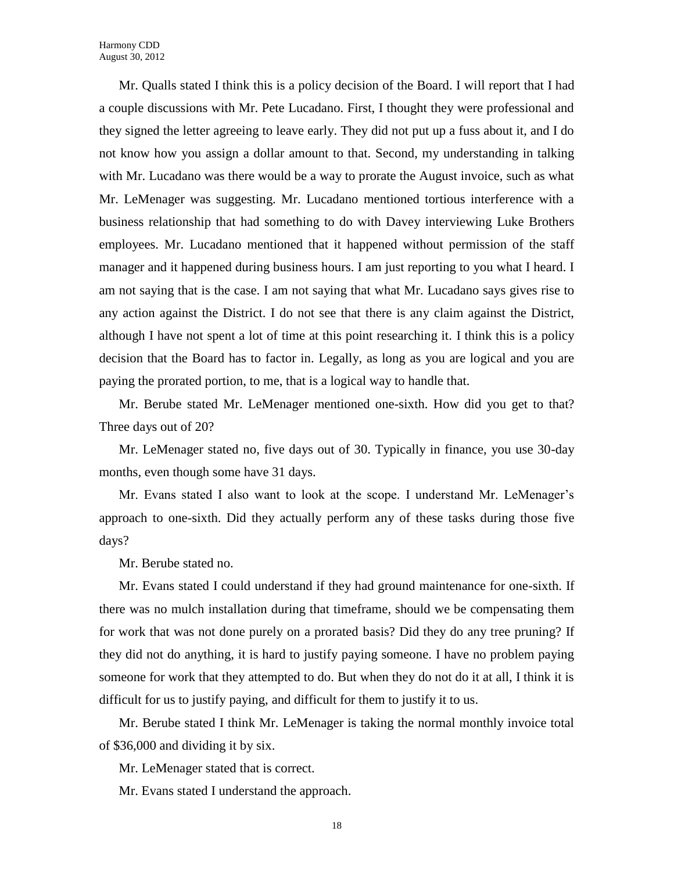Mr. Qualls stated I think this is a policy decision of the Board. I will report that I had a couple discussions with Mr. Pete Lucadano. First, I thought they were professional and they signed the letter agreeing to leave early. They did not put up a fuss about it, and I do not know how you assign a dollar amount to that. Second, my understanding in talking with Mr. Lucadano was there would be a way to prorate the August invoice, such as what Mr. LeMenager was suggesting. Mr. Lucadano mentioned tortious interference with a business relationship that had something to do with Davey interviewing Luke Brothers employees. Mr. Lucadano mentioned that it happened without permission of the staff manager and it happened during business hours. I am just reporting to you what I heard. I am not saying that is the case. I am not saying that what Mr. Lucadano says gives rise to any action against the District. I do not see that there is any claim against the District, although I have not spent a lot of time at this point researching it. I think this is a policy decision that the Board has to factor in. Legally, as long as you are logical and you are paying the prorated portion, to me, that is a logical way to handle that.

Mr. Berube stated Mr. LeMenager mentioned one-sixth. How did you get to that? Three days out of 20?

Mr. LeMenager stated no, five days out of 30. Typically in finance, you use 30-day months, even though some have 31 days.

Mr. Evans stated I also want to look at the scope. I understand Mr. LeMenager's approach to one-sixth. Did they actually perform any of these tasks during those five days?

Mr. Berube stated no.

Mr. Evans stated I could understand if they had ground maintenance for one-sixth. If there was no mulch installation during that timeframe, should we be compensating them for work that was not done purely on a prorated basis? Did they do any tree pruning? If they did not do anything, it is hard to justify paying someone. I have no problem paying someone for work that they attempted to do. But when they do not do it at all, I think it is difficult for us to justify paying, and difficult for them to justify it to us.

Mr. Berube stated I think Mr. LeMenager is taking the normal monthly invoice total of \$36,000 and dividing it by six.

Mr. LeMenager stated that is correct.

Mr. Evans stated I understand the approach.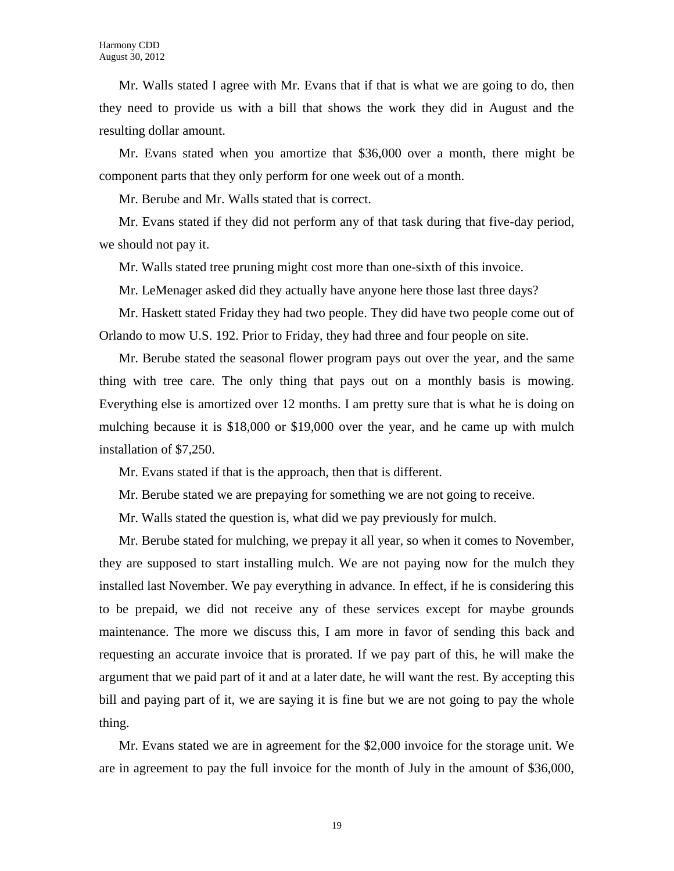Mr. Walls stated I agree with Mr. Evans that if that is what we are going to do, then they need to provide us with a bill that shows the work they did in August and the resulting dollar amount.

Mr. Evans stated when you amortize that \$36,000 over a month, there might be component parts that they only perform for one week out of a month.

Mr. Berube and Mr. Walls stated that is correct.

Mr. Evans stated if they did not perform any of that task during that five-day period, we should not pay it.

Mr. Walls stated tree pruning might cost more than one-sixth of this invoice.

Mr. LeMenager asked did they actually have anyone here those last three days?

Mr. Haskett stated Friday they had two people. They did have two people come out of Orlando to mow U.S. 192. Prior to Friday, they had three and four people on site.

Mr. Berube stated the seasonal flower program pays out over the year, and the same thing with tree care. The only thing that pays out on a monthly basis is mowing. Everything else is amortized over 12 months. I am pretty sure that is what he is doing on mulching because it is \$18,000 or \$19,000 over the year, and he came up with mulch installation of \$7,250.

Mr. Evans stated if that is the approach, then that is different.

Mr. Berube stated we are prepaying for something we are not going to receive.

Mr. Walls stated the question is, what did we pay previously for mulch.

Mr. Berube stated for mulching, we prepay it all year, so when it comes to November, they are supposed to start installing mulch. We are not paying now for the mulch they installed last November. We pay everything in advance. In effect, if he is considering this to be prepaid, we did not receive any of these services except for maybe grounds maintenance. The more we discuss this, I am more in favor of sending this back and requesting an accurate invoice that is prorated. If we pay part of this, he will make the argument that we paid part of it and at a later date, he will want the rest. By accepting this bill and paying part of it, we are saying it is fine but we are not going to pay the whole thing.

Mr. Evans stated we are in agreement for the \$2,000 invoice for the storage unit. We are in agreement to pay the full invoice for the month of July in the amount of \$36,000,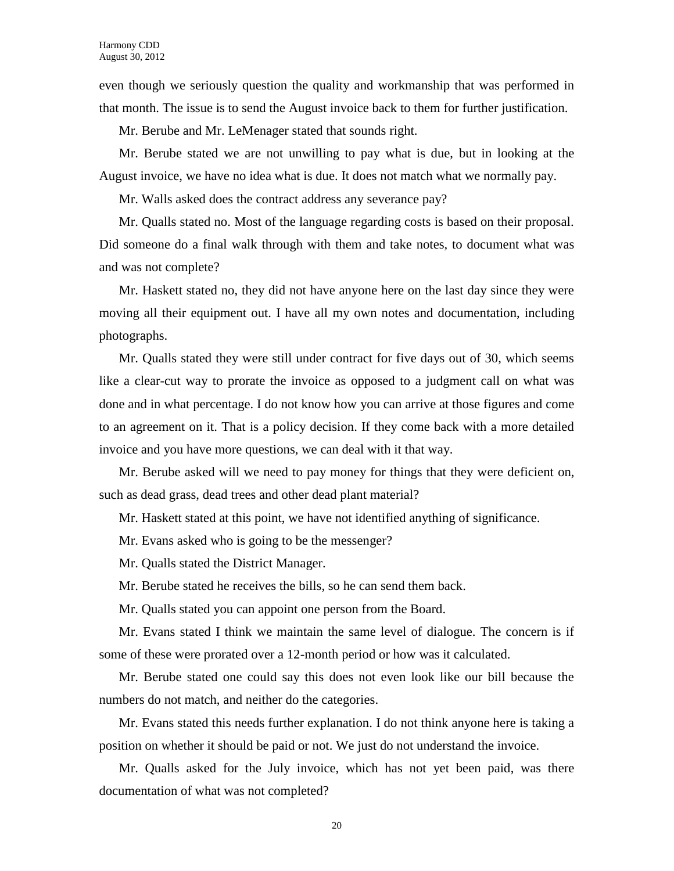even though we seriously question the quality and workmanship that was performed in that month. The issue is to send the August invoice back to them for further justification.

Mr. Berube and Mr. LeMenager stated that sounds right.

Mr. Berube stated we are not unwilling to pay what is due, but in looking at the August invoice, we have no idea what is due. It does not match what we normally pay.

Mr. Walls asked does the contract address any severance pay?

Mr. Qualls stated no. Most of the language regarding costs is based on their proposal. Did someone do a final walk through with them and take notes, to document what was and was not complete?

Mr. Haskett stated no, they did not have anyone here on the last day since they were moving all their equipment out. I have all my own notes and documentation, including photographs.

Mr. Qualls stated they were still under contract for five days out of 30, which seems like a clear-cut way to prorate the invoice as opposed to a judgment call on what was done and in what percentage. I do not know how you can arrive at those figures and come to an agreement on it. That is a policy decision. If they come back with a more detailed invoice and you have more questions, we can deal with it that way.

Mr. Berube asked will we need to pay money for things that they were deficient on, such as dead grass, dead trees and other dead plant material?

Mr. Haskett stated at this point, we have not identified anything of significance.

Mr. Evans asked who is going to be the messenger?

Mr. Qualls stated the District Manager.

Mr. Berube stated he receives the bills, so he can send them back.

Mr. Qualls stated you can appoint one person from the Board.

Mr. Evans stated I think we maintain the same level of dialogue. The concern is if some of these were prorated over a 12-month period or how was it calculated.

Mr. Berube stated one could say this does not even look like our bill because the numbers do not match, and neither do the categories.

Mr. Evans stated this needs further explanation. I do not think anyone here is taking a position on whether it should be paid or not. We just do not understand the invoice.

Mr. Qualls asked for the July invoice, which has not yet been paid, was there documentation of what was not completed?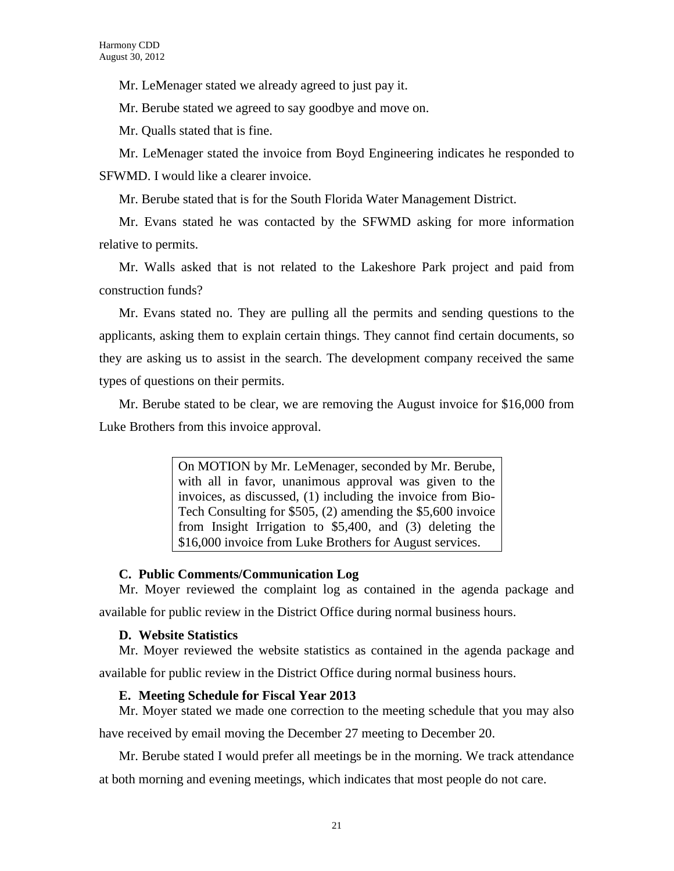Mr. LeMenager stated we already agreed to just pay it.

Mr. Berube stated we agreed to say goodbye and move on.

Mr. Qualls stated that is fine.

Mr. LeMenager stated the invoice from Boyd Engineering indicates he responded to SFWMD. I would like a clearer invoice.

Mr. Berube stated that is for the South Florida Water Management District.

Mr. Evans stated he was contacted by the SFWMD asking for more information relative to permits.

Mr. Walls asked that is not related to the Lakeshore Park project and paid from construction funds?

Mr. Evans stated no. They are pulling all the permits and sending questions to the applicants, asking them to explain certain things. They cannot find certain documents, so they are asking us to assist in the search. The development company received the same types of questions on their permits.

Mr. Berube stated to be clear, we are removing the August invoice for \$16,000 from Luke Brothers from this invoice approval.

> On MOTION by Mr. LeMenager, seconded by Mr. Berube, with all in favor, unanimous approval was given to the invoices, as discussed, (1) including the invoice from Bio-Tech Consulting for \$505, (2) amending the \$5,600 invoice from Insight Irrigation to \$5,400, and (3) deleting the \$16,000 invoice from Luke Brothers for August services.

# **C. Public Comments/Communication Log**

Mr. Moyer reviewed the complaint log as contained in the agenda package and available for public review in the District Office during normal business hours.

# **D. Website Statistics**

Mr. Moyer reviewed the website statistics as contained in the agenda package and available for public review in the District Office during normal business hours.

# **E. Meeting Schedule for Fiscal Year 2013**

Mr. Moyer stated we made one correction to the meeting schedule that you may also

have received by email moving the December 27 meeting to December 20.

Mr. Berube stated I would prefer all meetings be in the morning. We track attendance

at both morning and evening meetings, which indicates that most people do not care.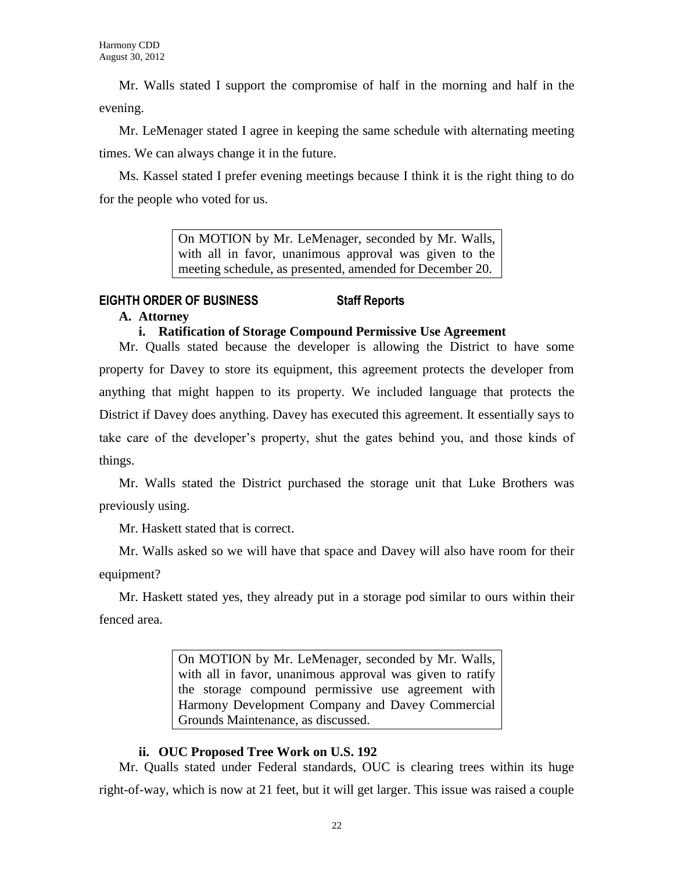Mr. Walls stated I support the compromise of half in the morning and half in the evening.

Mr. LeMenager stated I agree in keeping the same schedule with alternating meeting times. We can always change it in the future.

Ms. Kassel stated I prefer evening meetings because I think it is the right thing to do for the people who voted for us.

> On MOTION by Mr. LeMenager, seconded by Mr. Walls, with all in favor, unanimous approval was given to the meeting schedule, as presented, amended for December 20.

# **EIGHTH ORDER OF BUSINESS Staff Reports**

# **A. Attorney**

# **i. Ratification of Storage Compound Permissive Use Agreement**

Mr. Qualls stated because the developer is allowing the District to have some property for Davey to store its equipment, this agreement protects the developer from anything that might happen to its property. We included language that protects the District if Davey does anything. Davey has executed this agreement. It essentially says to take care of the developer's property, shut the gates behind you, and those kinds of things.

Mr. Walls stated the District purchased the storage unit that Luke Brothers was previously using.

Mr. Haskett stated that is correct.

Mr. Walls asked so we will have that space and Davey will also have room for their equipment?

Mr. Haskett stated yes, they already put in a storage pod similar to ours within their fenced area.

> On MOTION by Mr. LeMenager, seconded by Mr. Walls, with all in favor, unanimous approval was given to ratify the storage compound permissive use agreement with Harmony Development Company and Davey Commercial Grounds Maintenance, as discussed.

# **ii. OUC Proposed Tree Work on U.S. 192**

Mr. Qualls stated under Federal standards, OUC is clearing trees within its huge right-of-way, which is now at 21 feet, but it will get larger. This issue was raised a couple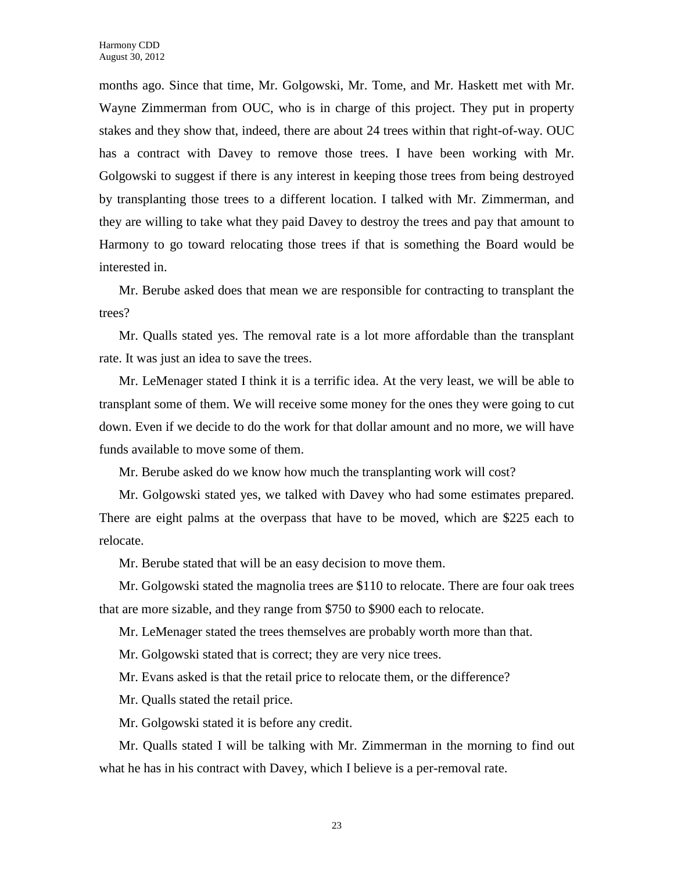months ago. Since that time, Mr. Golgowski, Mr. Tome, and Mr. Haskett met with Mr. Wayne Zimmerman from OUC, who is in charge of this project. They put in property stakes and they show that, indeed, there are about 24 trees within that right-of-way. OUC has a contract with Davey to remove those trees. I have been working with Mr. Golgowski to suggest if there is any interest in keeping those trees from being destroyed by transplanting those trees to a different location. I talked with Mr. Zimmerman, and they are willing to take what they paid Davey to destroy the trees and pay that amount to Harmony to go toward relocating those trees if that is something the Board would be interested in.

Mr. Berube asked does that mean we are responsible for contracting to transplant the trees?

Mr. Qualls stated yes. The removal rate is a lot more affordable than the transplant rate. It was just an idea to save the trees.

Mr. LeMenager stated I think it is a terrific idea. At the very least, we will be able to transplant some of them. We will receive some money for the ones they were going to cut down. Even if we decide to do the work for that dollar amount and no more, we will have funds available to move some of them.

Mr. Berube asked do we know how much the transplanting work will cost?

Mr. Golgowski stated yes, we talked with Davey who had some estimates prepared. There are eight palms at the overpass that have to be moved, which are \$225 each to relocate.

Mr. Berube stated that will be an easy decision to move them.

Mr. Golgowski stated the magnolia trees are \$110 to relocate. There are four oak trees that are more sizable, and they range from \$750 to \$900 each to relocate.

Mr. LeMenager stated the trees themselves are probably worth more than that.

Mr. Golgowski stated that is correct; they are very nice trees.

Mr. Evans asked is that the retail price to relocate them, or the difference?

Mr. Qualls stated the retail price.

Mr. Golgowski stated it is before any credit.

Mr. Qualls stated I will be talking with Mr. Zimmerman in the morning to find out what he has in his contract with Davey, which I believe is a per-removal rate.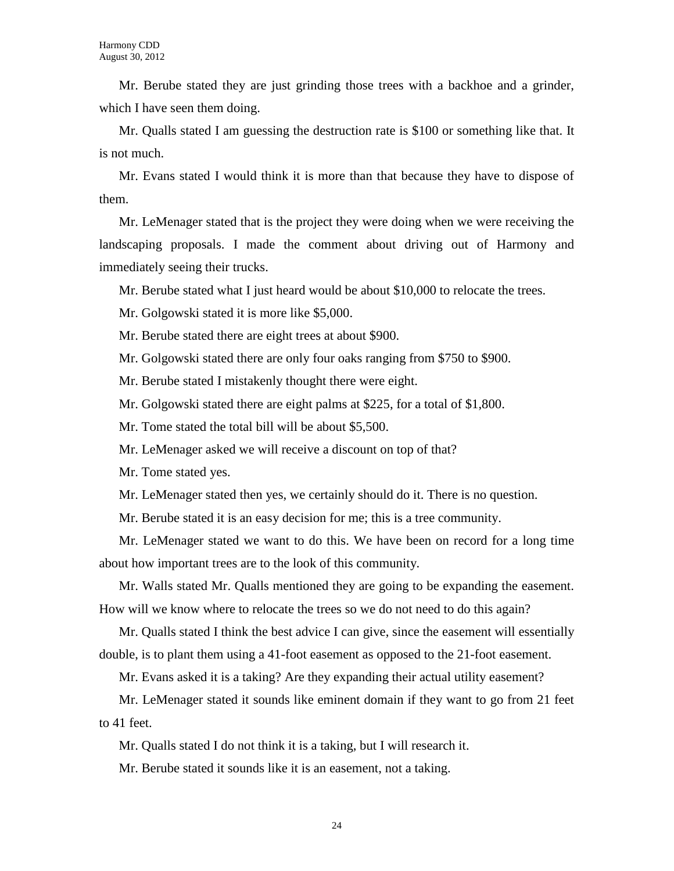Mr. Berube stated they are just grinding those trees with a backhoe and a grinder, which I have seen them doing.

Mr. Qualls stated I am guessing the destruction rate is \$100 or something like that. It is not much.

Mr. Evans stated I would think it is more than that because they have to dispose of them.

Mr. LeMenager stated that is the project they were doing when we were receiving the landscaping proposals. I made the comment about driving out of Harmony and immediately seeing their trucks.

Mr. Berube stated what I just heard would be about \$10,000 to relocate the trees.

Mr. Golgowski stated it is more like \$5,000.

Mr. Berube stated there are eight trees at about \$900.

Mr. Golgowski stated there are only four oaks ranging from \$750 to \$900.

Mr. Berube stated I mistakenly thought there were eight.

Mr. Golgowski stated there are eight palms at \$225, for a total of \$1,800.

Mr. Tome stated the total bill will be about \$5,500.

Mr. LeMenager asked we will receive a discount on top of that?

Mr. Tome stated yes.

Mr. LeMenager stated then yes, we certainly should do it. There is no question.

Mr. Berube stated it is an easy decision for me; this is a tree community.

Mr. LeMenager stated we want to do this. We have been on record for a long time about how important trees are to the look of this community.

Mr. Walls stated Mr. Qualls mentioned they are going to be expanding the easement. How will we know where to relocate the trees so we do not need to do this again?

Mr. Qualls stated I think the best advice I can give, since the easement will essentially double, is to plant them using a 41-foot easement as opposed to the 21-foot easement.

Mr. Evans asked it is a taking? Are they expanding their actual utility easement?

Mr. LeMenager stated it sounds like eminent domain if they want to go from 21 feet to 41 feet.

Mr. Qualls stated I do not think it is a taking, but I will research it.

Mr. Berube stated it sounds like it is an easement, not a taking.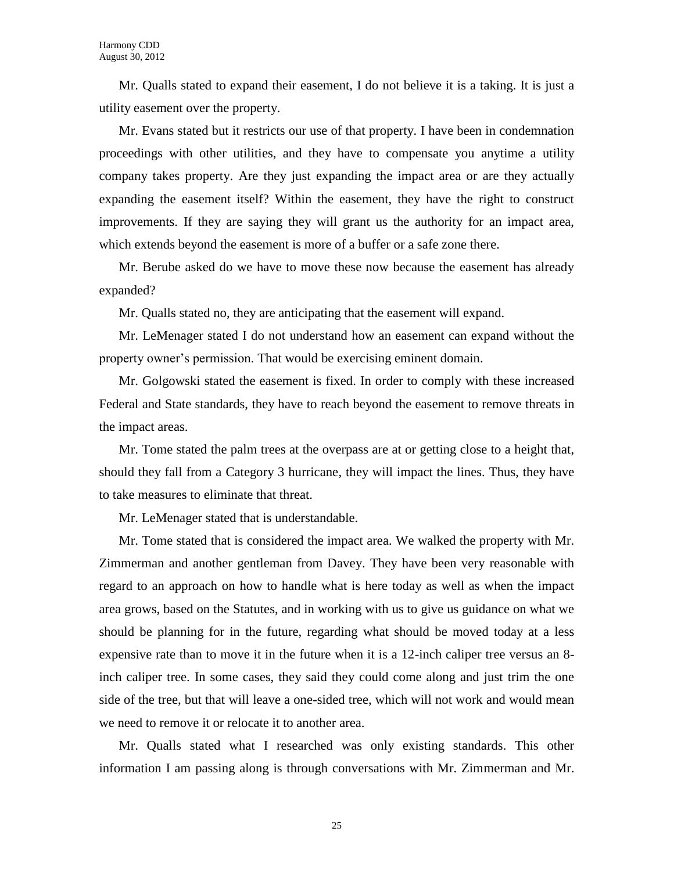Mr. Qualls stated to expand their easement, I do not believe it is a taking. It is just a utility easement over the property.

Mr. Evans stated but it restricts our use of that property. I have been in condemnation proceedings with other utilities, and they have to compensate you anytime a utility company takes property. Are they just expanding the impact area or are they actually expanding the easement itself? Within the easement, they have the right to construct improvements. If they are saying they will grant us the authority for an impact area, which extends beyond the easement is more of a buffer or a safe zone there.

Mr. Berube asked do we have to move these now because the easement has already expanded?

Mr. Qualls stated no, they are anticipating that the easement will expand.

Mr. LeMenager stated I do not understand how an easement can expand without the property owner's permission. That would be exercising eminent domain.

Mr. Golgowski stated the easement is fixed. In order to comply with these increased Federal and State standards, they have to reach beyond the easement to remove threats in the impact areas.

Mr. Tome stated the palm trees at the overpass are at or getting close to a height that, should they fall from a Category 3 hurricane, they will impact the lines. Thus, they have to take measures to eliminate that threat.

Mr. LeMenager stated that is understandable.

Mr. Tome stated that is considered the impact area. We walked the property with Mr. Zimmerman and another gentleman from Davey. They have been very reasonable with regard to an approach on how to handle what is here today as well as when the impact area grows, based on the Statutes, and in working with us to give us guidance on what we should be planning for in the future, regarding what should be moved today at a less expensive rate than to move it in the future when it is a 12-inch caliper tree versus an 8 inch caliper tree. In some cases, they said they could come along and just trim the one side of the tree, but that will leave a one-sided tree, which will not work and would mean we need to remove it or relocate it to another area.

Mr. Qualls stated what I researched was only existing standards. This other information I am passing along is through conversations with Mr. Zimmerman and Mr.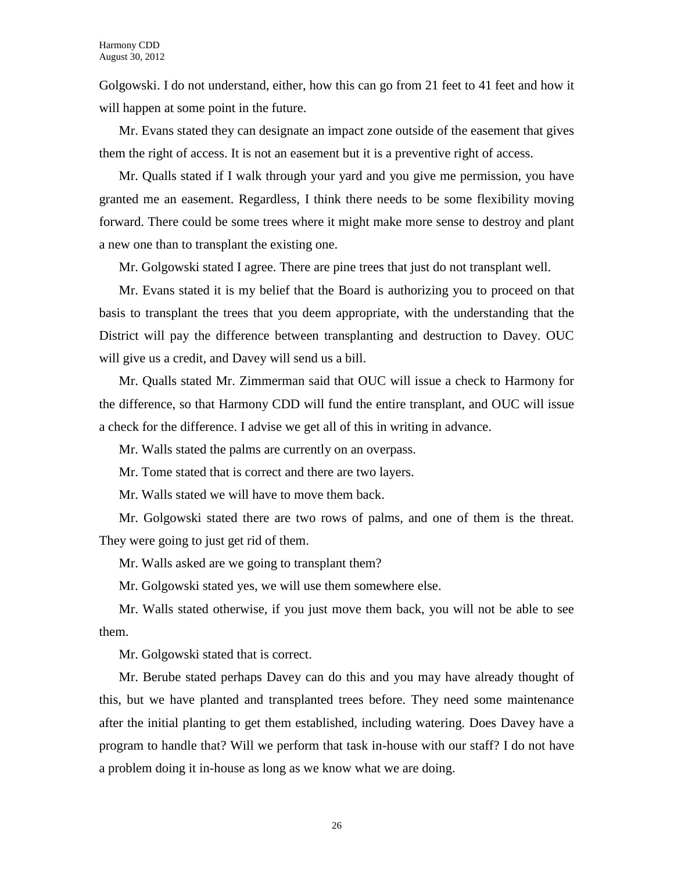Golgowski. I do not understand, either, how this can go from 21 feet to 41 feet and how it will happen at some point in the future.

Mr. Evans stated they can designate an impact zone outside of the easement that gives them the right of access. It is not an easement but it is a preventive right of access.

Mr. Qualls stated if I walk through your yard and you give me permission, you have granted me an easement. Regardless, I think there needs to be some flexibility moving forward. There could be some trees where it might make more sense to destroy and plant a new one than to transplant the existing one.

Mr. Golgowski stated I agree. There are pine trees that just do not transplant well.

Mr. Evans stated it is my belief that the Board is authorizing you to proceed on that basis to transplant the trees that you deem appropriate, with the understanding that the District will pay the difference between transplanting and destruction to Davey. OUC will give us a credit, and Davey will send us a bill.

Mr. Qualls stated Mr. Zimmerman said that OUC will issue a check to Harmony for the difference, so that Harmony CDD will fund the entire transplant, and OUC will issue a check for the difference. I advise we get all of this in writing in advance.

Mr. Walls stated the palms are currently on an overpass.

Mr. Tome stated that is correct and there are two layers.

Mr. Walls stated we will have to move them back.

Mr. Golgowski stated there are two rows of palms, and one of them is the threat. They were going to just get rid of them.

Mr. Walls asked are we going to transplant them?

Mr. Golgowski stated yes, we will use them somewhere else.

Mr. Walls stated otherwise, if you just move them back, you will not be able to see them.

Mr. Golgowski stated that is correct.

Mr. Berube stated perhaps Davey can do this and you may have already thought of this, but we have planted and transplanted trees before. They need some maintenance after the initial planting to get them established, including watering. Does Davey have a program to handle that? Will we perform that task in-house with our staff? I do not have a problem doing it in-house as long as we know what we are doing.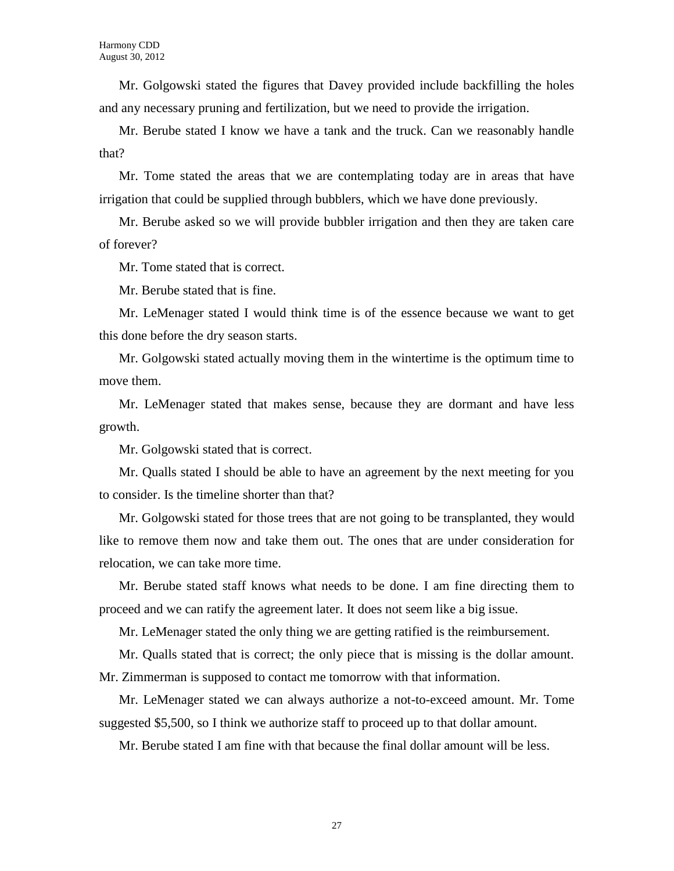Mr. Golgowski stated the figures that Davey provided include backfilling the holes and any necessary pruning and fertilization, but we need to provide the irrigation.

Mr. Berube stated I know we have a tank and the truck. Can we reasonably handle that?

Mr. Tome stated the areas that we are contemplating today are in areas that have irrigation that could be supplied through bubblers, which we have done previously.

Mr. Berube asked so we will provide bubbler irrigation and then they are taken care of forever?

Mr. Tome stated that is correct.

Mr. Berube stated that is fine.

Mr. LeMenager stated I would think time is of the essence because we want to get this done before the dry season starts.

Mr. Golgowski stated actually moving them in the wintertime is the optimum time to move them.

Mr. LeMenager stated that makes sense, because they are dormant and have less growth.

Mr. Golgowski stated that is correct.

Mr. Qualls stated I should be able to have an agreement by the next meeting for you to consider. Is the timeline shorter than that?

Mr. Golgowski stated for those trees that are not going to be transplanted, they would like to remove them now and take them out. The ones that are under consideration for relocation, we can take more time.

Mr. Berube stated staff knows what needs to be done. I am fine directing them to proceed and we can ratify the agreement later. It does not seem like a big issue.

Mr. LeMenager stated the only thing we are getting ratified is the reimbursement.

Mr. Qualls stated that is correct; the only piece that is missing is the dollar amount. Mr. Zimmerman is supposed to contact me tomorrow with that information.

Mr. LeMenager stated we can always authorize a not-to-exceed amount. Mr. Tome suggested \$5,500, so I think we authorize staff to proceed up to that dollar amount.

Mr. Berube stated I am fine with that because the final dollar amount will be less.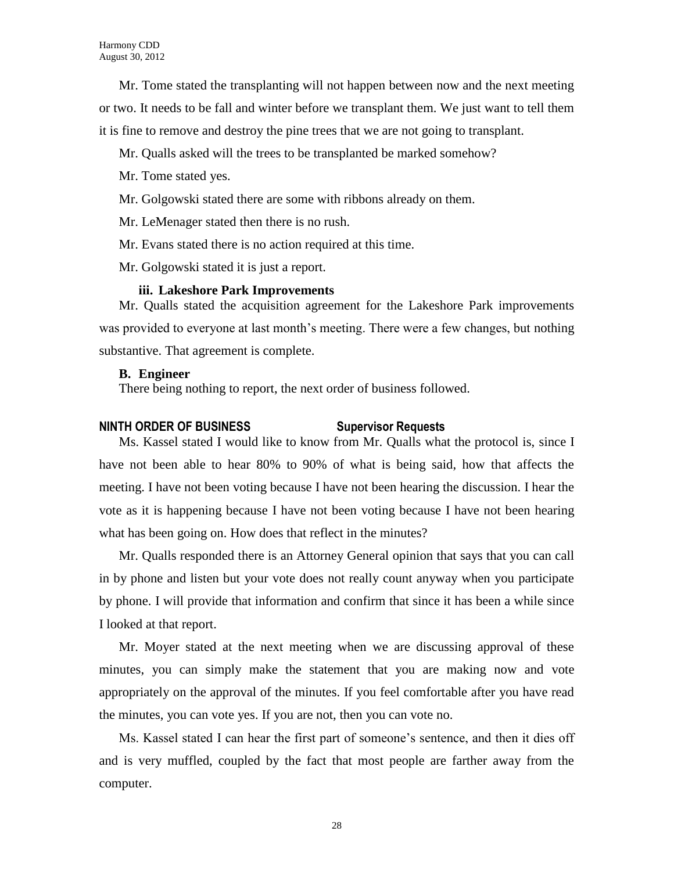Mr. Tome stated the transplanting will not happen between now and the next meeting or two. It needs to be fall and winter before we transplant them. We just want to tell them it is fine to remove and destroy the pine trees that we are not going to transplant.

- Mr. Qualls asked will the trees to be transplanted be marked somehow?
- Mr. Tome stated yes.
- Mr. Golgowski stated there are some with ribbons already on them.
- Mr. LeMenager stated then there is no rush.
- Mr. Evans stated there is no action required at this time.
- Mr. Golgowski stated it is just a report.

#### **iii. Lakeshore Park Improvements**

Mr. Qualls stated the acquisition agreement for the Lakeshore Park improvements was provided to everyone at last month's meeting. There were a few changes, but nothing substantive. That agreement is complete.

#### **B. Engineer**

There being nothing to report, the next order of business followed.

### **NINTH ORDER OF BUSINESS Supervisor Requests**

Ms. Kassel stated I would like to know from Mr. Qualls what the protocol is, since I have not been able to hear 80% to 90% of what is being said, how that affects the meeting. I have not been voting because I have not been hearing the discussion. I hear the vote as it is happening because I have not been voting because I have not been hearing what has been going on. How does that reflect in the minutes?

Mr. Qualls responded there is an Attorney General opinion that says that you can call in by phone and listen but your vote does not really count anyway when you participate by phone. I will provide that information and confirm that since it has been a while since I looked at that report.

Mr. Moyer stated at the next meeting when we are discussing approval of these minutes, you can simply make the statement that you are making now and vote appropriately on the approval of the minutes. If you feel comfortable after you have read the minutes, you can vote yes. If you are not, then you can vote no.

Ms. Kassel stated I can hear the first part of someone's sentence, and then it dies off and is very muffled, coupled by the fact that most people are farther away from the computer.